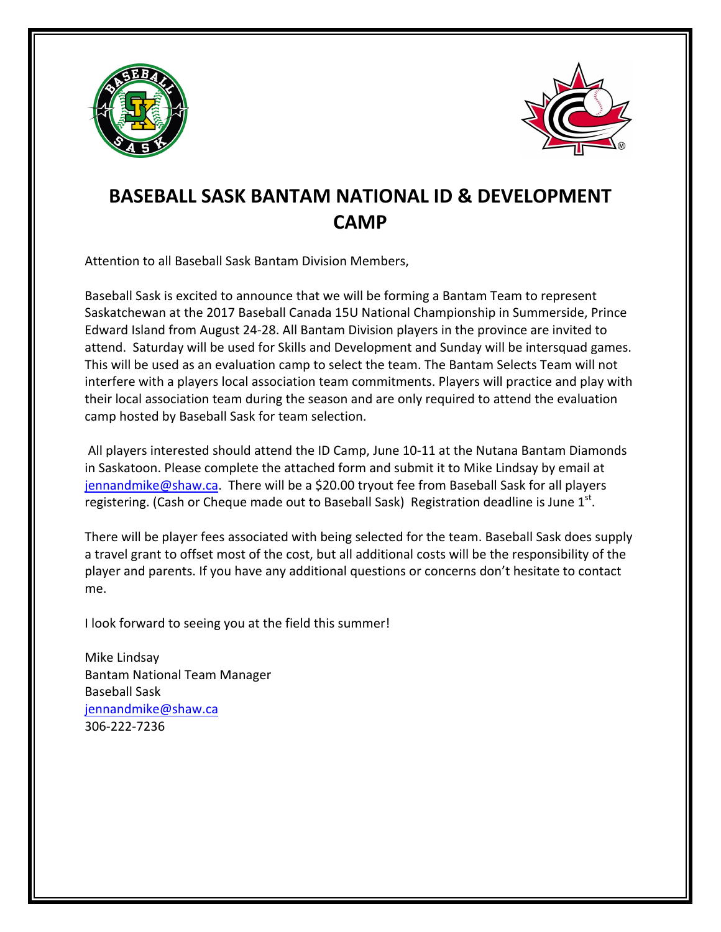



## **BASEBALL SASK BANTAM NATIONAL ID & DEVELOPMENT CAMP**

Attention to all Baseball Sask Bantam Division Members,

Baseball Sask is excited to announce that we will be forming a Bantam Team to represent Saskatchewan at the 2017 Baseball Canada 15U National Championship in Summerside, Prince Edward Island from August 24-28. All Bantam Division players in the province are invited to attend. Saturday will be used for Skills and Development and Sunday will be intersquad games. This will be used as an evaluation camp to select the team. The Bantam Selects Team will not interfere with a players local association team commitments. Players will practice and play with their local association team during the season and are only required to attend the evaluation camp hosted by Baseball Sask for team selection.

All players interested should attend the ID Camp, June 10-11 at the Nutana Bantam Diamonds in Saskatoon. Please complete the attached form and submit it to Mike Lindsay by email at jennandmike@shaw.ca. There will be a \$20.00 tryout fee from Baseball Sask for all players registering. (Cash or Cheque made out to Baseball Sask) Registration deadline is June  $1<sup>st</sup>$ .

There will be player fees associated with being selected for the team. Baseball Sask does supply a travel grant to offset most of the cost, but all additional costs will be the responsibility of the player and parents. If you have any additional questions or concerns don't hesitate to contact me. 

I look forward to seeing you at the field this summer!

Mike Lindsay Bantam National Team Manager Baseball Sask jennandmike@shaw.ca 306-222-7236